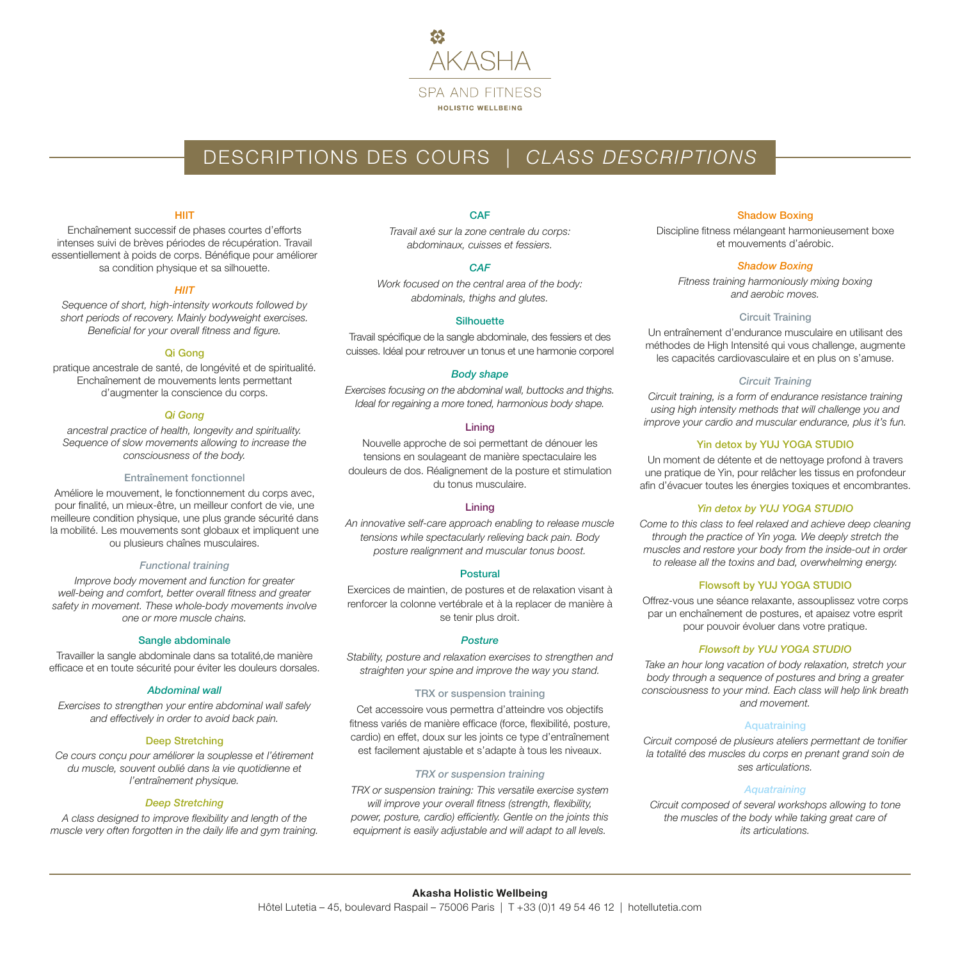

# DESCRIPTIONS DES COURS | *CLASS DESCRIPTIONS*

# **HIIT**

Enchaînement successif de phases courtes d'efforts intenses suivi de brèves périodes de récupération. Travail essentiellement à poids de corps. Bénéfique pour améliorer sa condition physique et sa silhouette.

# *HIIT*

*Sequence of short, high-intensity workouts followed by short periods of recovery. Mainly bodyweight exercises. Beneficial for your overall fitness and figure.*

# Qi Gong

pratique ancestrale de santé, de longévité et de spiritualité. Enchaînement de mouvements lents permettant d'augmenter la conscience du corps.

# *Qi Gong*

*ancestral practice of health, longevity and spirituality. Sequence of slow movements allowing to increase the consciousness of the body.*

#### Entraînement fonctionnel

Améliore le mouvement, le fonctionnement du corps avec, pour finalité, un mieux-être, un meilleur confort de vie, une meilleure condition physique, une plus grande sécurité dans la mobilité. Les mouvements sont globaux et impliquent une ou plusieurs chaînes musculaires.

#### *Functional training*

*Improve body movement and function for greater well-being and comfort, better overall fitness and greater safety in movement. These whole-body movements involve one or more muscle chains.*

#### Sangle abdominale

Travailler la sangle abdominale dans sa totalité,de manière efficace et en toute sécurité pour éviter les douleurs dorsales.

# *Abdominal wall*

*Exercises to strengthen your entire abdominal wall safely and effectively in order to avoid back pain.*

# Deep Stretching

*Ce cours conçu pour améliorer la souplesse et l'étirement du muscle, souvent oublié dans la vie quotidienne et l'entraînement physique.*

# *Deep Stretching*

*A class designed to improve flexibility and length of the muscle very often forgotten in the daily life and gym training.* **CAF** 

*Travail axé sur la zone centrale du corps: abdominaux, cuisses et fessiers.*

# *CAF*

*Work focused on the central area of the body: abdominals, thighs and glutes.*

# **Silhouette**

Travail spécifique de la sangle abdominale, des fessiers et des cuisses. Idéal pour retrouver un tonus et une harmonie corporel

# *Body shape*

*Exercises focusing on the abdominal wall, buttocks and thighs. Ideal for regaining a more toned, harmonious body shape.*

#### Lining

Nouvelle approche de soi permettant de dénouer les tensions en soulageant de manière spectaculaire les douleurs de dos. Réalignement de la posture et stimulation du tonus musculaire.

# Lining

*An innovative self-care approach enabling to release muscle tensions while spectacularly relieving back pain. Body posture realignment and muscular tonus boost.*

## Postural

Exercices de maintien, de postures et de relaxation visant à renforcer la colonne vertébrale et à la replacer de manière à se tenir plus droit.

#### *Posture*

*Stability, posture and relaxation exercises to strengthen and straighten your spine and improve the way you stand.*

#### TRX or suspension training

Cet accessoire vous permettra d'atteindre vos objectifs fitness variés de manière efficace (force, flexibilité, posture, cardio) en effet, doux sur les joints ce type d'entraînement est facilement ajustable et s'adapte à tous les niveaux.

# *TRX or suspension training*

*TRX or suspension training: This versatile exercise system* 

*will improve your overall fitness (strength, flexibility, power, posture, cardio) efficiently. Gentle on the joints this equipment is easily adjustable and will adapt to all levels.*

# Shadow Boxing

Discipline fitness mélangeant harmonieusement boxe et mouvements d'aérobic.

# *Shadow Boxing*

*Fitness training harmoniously mixing boxing and aerobic moves.*

# Circuit Training

Un entraînement d'endurance musculaire en utilisant des méthodes de High Intensité qui vous challenge, augmente les capacités cardiovasculaire et en plus on s'amuse.

#### *Circuit Training*

*Circuit training, is a form of endurance resistance training using high intensity methods that will challenge you and improve your cardio and muscular endurance, plus it's fun.*

# Yin detox by YUJ YOGA STUDIO

Un moment de détente et de nettoyage profond à travers une pratique de Yin, pour relâcher les tissus en profondeur afin d'évacuer toutes les énergies toxiques et encombrantes.

# *Yin detox by YUJ YOGA STUDIO*

*Come to this class to feel relaxed and achieve deep cleaning through the practice of Yin yoga. We deeply stretch the muscles and restore your body from the inside-out in order to release all the toxins and bad, overwhelming energy.*

# Flowsoft by YUJ YOGA STUDIO

Offrez-vous une séance relaxante, assouplissez votre corps par un enchaînement de postures, et apaisez votre esprit pour pouvoir évoluer dans votre pratique.

#### *Flowsoft by YUJ YOGA STUDIO*

*Take an hour long vacation of body relaxation, stretch your body through a sequence of postures and bring a greater consciousness to your mind. Each class will help link breath and movement.*

# Aquatraining

*Circuit composé de plusieurs ateliers permettant de tonifier la totalité des muscles du corps en prenant grand soin de ses articulations.*

# *Aquatraining*

*Circuit composed of several workshops allowing to tone the muscles of the body while taking great care of its articulations.*